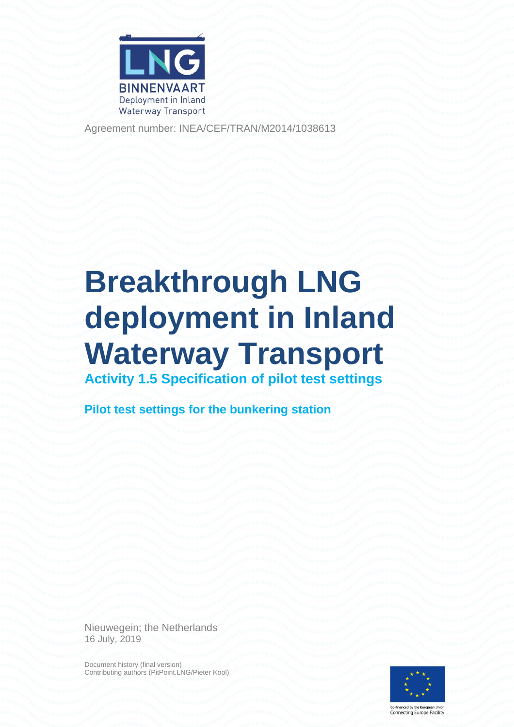

Agreement number: INEA/CEF/TRAN/M2014/1038613

# **Breakthrough LNG deployment in Inland Waterway Transport Activity 1.5 Specification of pilot test settings**

**Pilot test settings for the bunkering station**

Nieuwegein; the Netherlands 16 July, 2019

Document history (final version) Contributing authors (PitPoint.LNG/Pieter Kool)



Co-financed by the European Union<br>Connecting Europe Facility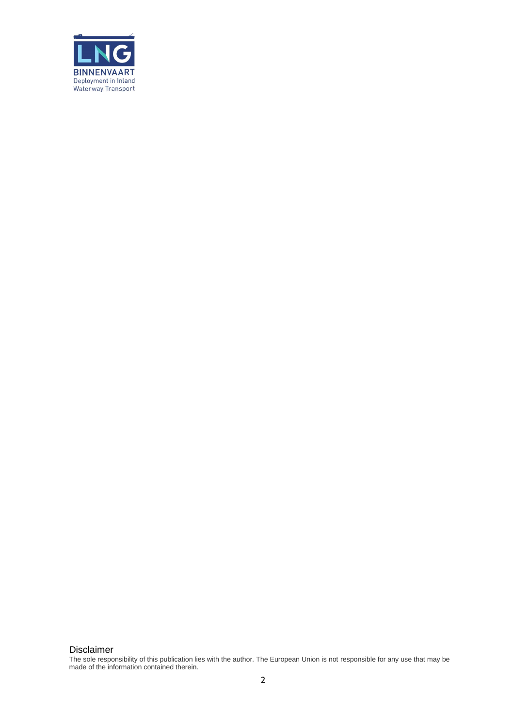

Disclaimer

The sole responsibility of this publication lies with the author. The European Union is not responsible for any use that may be made of the information contained therein.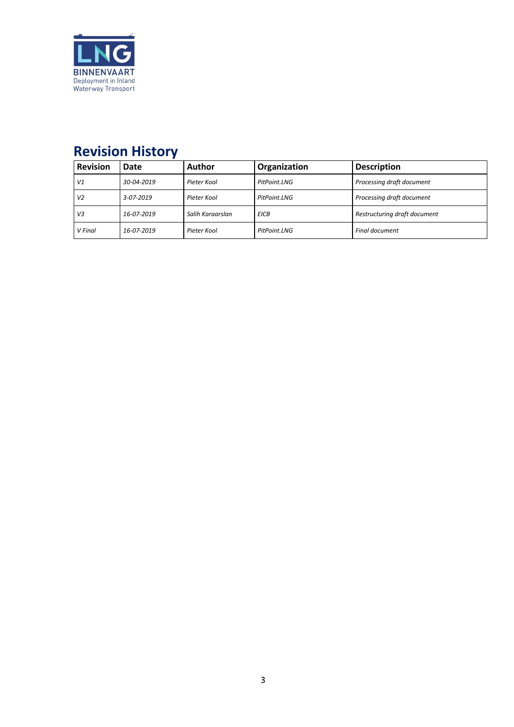

### **Revision History**

| <b>Revision</b> | Date       | Author           | <b>Organization</b> | <b>Description</b>           |
|-----------------|------------|------------------|---------------------|------------------------------|
| V1              | 30-04-2019 | Pieter Kool      | PitPoint.LNG        | Processing draft document    |
| V <sub>2</sub>  | 3-07-2019  | Pieter Kool      | PitPoint.LNG        | Processing draft document    |
| V3              | 16-07-2019 | Salih Karaarslan | <b>EICB</b>         | Restructuring draft document |
| V Final         | 16-07-2019 | Pieter Kool      | PitPoint.LNG        | <b>Final document</b>        |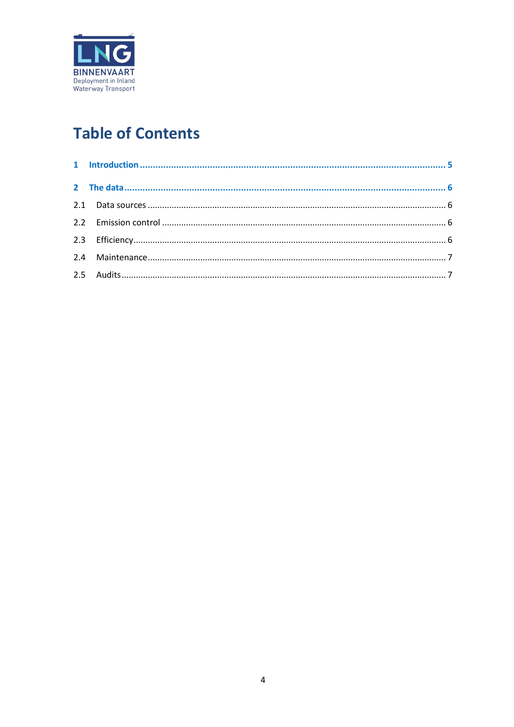

## **Table of Contents**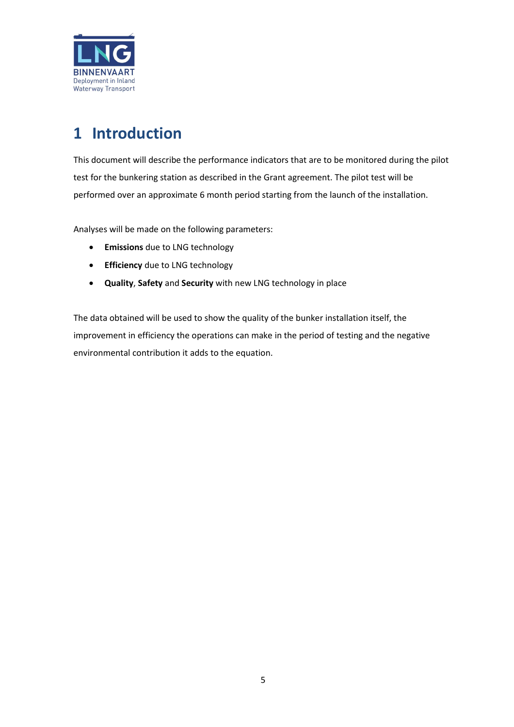

### <span id="page-4-0"></span>**1 Introduction**

This document will describe the performance indicators that are to be monitored during the pilot test for the bunkering station as described in the Grant agreement. The pilot test will be performed over an approximate 6 month period starting from the launch of the installation.

Analyses will be made on the following parameters:

- **Emissions** due to LNG technology
- **Efficiency** due to LNG technology
- **Quality**, **Safety** and **Security** with new LNG technology in place

The data obtained will be used to show the quality of the bunker installation itself, the improvement in efficiency the operations can make in the period of testing and the negative environmental contribution it adds to the equation.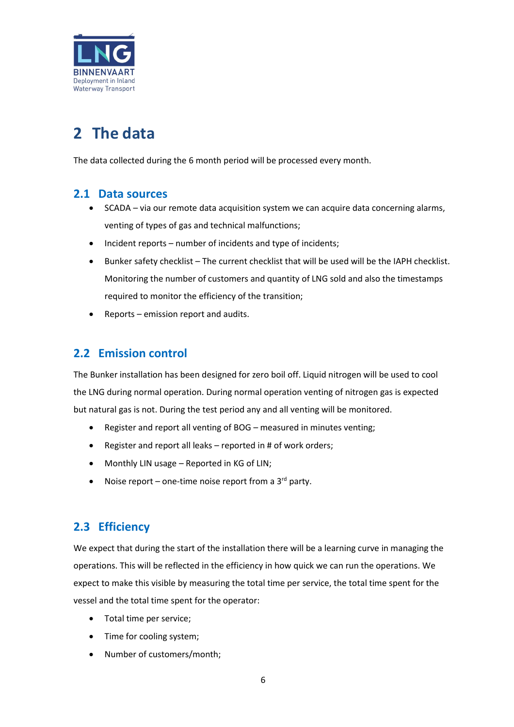

## <span id="page-5-0"></span>**2 The data**

The data collected during the 6 month period will be processed every month.

#### <span id="page-5-1"></span>**2.1 Data sources**

- SCADA via our remote data acquisition system we can acquire data concerning alarms, venting of types of gas and technical malfunctions;
- Incident reports number of incidents and type of incidents;
- Bunker safety checklist The current checklist that will be used will be the IAPH checklist. Monitoring the number of customers and quantity of LNG sold and also the timestamps required to monitor the efficiency of the transition;
- Reports emission report and audits.

#### <span id="page-5-2"></span>**2.2 Emission control**

The Bunker installation has been designed for zero boil off. Liquid nitrogen will be used to cool the LNG during normal operation. During normal operation venting of nitrogen gas is expected but natural gas is not. During the test period any and all venting will be monitored.

- Register and report all venting of BOG measured in minutes venting;
- Register and report all leaks reported in # of work orders;
- Monthly LIN usage Reported in KG of LIN;
- Noise report one-time noise report from a  $3^{rd}$  party.

#### <span id="page-5-3"></span>**2.3 Efficiency**

We expect that during the start of the installation there will be a learning curve in managing the operations. This will be reflected in the efficiency in how quick we can run the operations. We expect to make this visible by measuring the total time per service, the total time spent for the vessel and the total time spent for the operator:

- Total time per service;
- Time for cooling system;
- Number of customers/month;